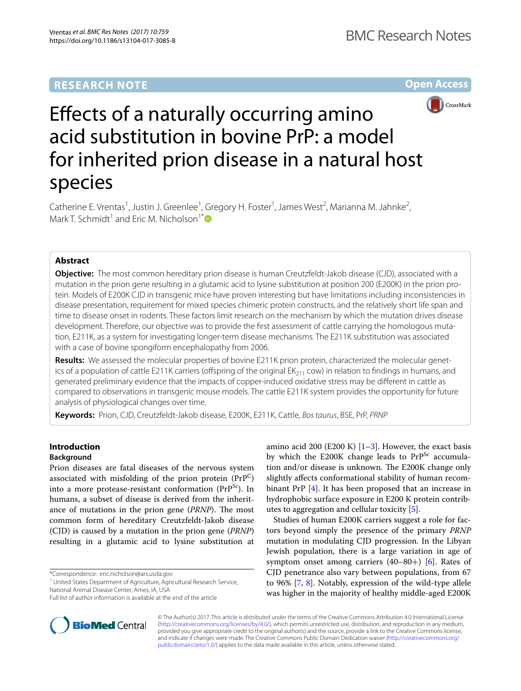# **RESEARCH NOTE**

**Open Access**



# Effects of a naturally occurring amino acid substitution in bovine PrP: a model for inherited prion disease in a natural host species

Catherine E. Vrentas<sup>1</sup>, Justin J. Greenlee<sup>1</sup>, Gregory H. Foster<sup>1</sup>, James West<sup>2</sup>, Marianna M. Jahnke<sup>2</sup>, Mark T. Schmidt<sup>1</sup> and Eric M. Nicholson<sup>1[\\*](http://orcid.org/0000-0002-2217-0161)</sup>

## **Abstract**

**Objective:** The most common hereditary prion disease is human Creutzfeldt-Jakob disease (CJD), associated with a mutation in the prion gene resulting in a glutamic acid to lysine substitution at position 200 (E200K) in the prion protein. Models of E200K CJD in transgenic mice have proven interesting but have limitations including inconsistencies in disease presentation, requirement for mixed species chimeric protein constructs, and the relatively short life span and time to disease onset in rodents. These factors limit research on the mechanism by which the mutation drives disease development. Therefore, our objective was to provide the frst assessment of cattle carrying the homologous mutation, E211K, as a system for investigating longer-term disease mechanisms. The E211K substitution was associated with a case of bovine spongiform encephalopathy from 2006.

**Results:** We assessed the molecular properties of bovine E211K prion protein, characterized the molecular genetics of a population of cattle E211K carriers (offspring of the original EK<sub>211</sub> cow) in relation to findings in humans, and generated preliminary evidence that the impacts of copper-induced oxidative stress may be diferent in cattle as compared to observations in transgenic mouse models. The cattle E211K system provides the opportunity for future analysis of physiological changes over time.

**Keywords:** Prion, CJD, Creutzfeldt-Jakob disease, E200K, E211K, Cattle, *Bos taurus*, BSE, PrP, *PRNP*

# **Introduction**

## **Background**

Prion diseases are fatal diseases of the nervous system associated with misfolding of the prion protein  $(PrP^C)$ into a more protease-resistant conformation  $(PrP^{Sc})$ . In humans, a subset of disease is derived from the inheritance of mutations in the prion gene (*PRNP*). The most common form of hereditary Creutzfeldt-Jakob disease (CJD) is caused by a mutation in the prion gene (*PRNP*) resulting in a glutamic acid to lysine substitution at

\*Correspondence: eric.nicholson@ars.usda.gov

<sup>1</sup> United States Department of Agriculture, Agricultural Research Service, National Animal Disease Center, Ames, IA, USA



Studies of human E200K carriers suggest a role for factors beyond simply the presence of the primary *PRNP* mutation in modulating CJD progression. In the Libyan Jewish population, there is a large variation in age of symptom onset among carriers  $(40-80+)$  [\[6](#page-4-4)]. Rates of CJD penetrance also vary between populations, from 67 to 96% [\[7](#page-4-5), [8\]](#page-4-6). Notably, expression of the wild-type allele was higher in the majority of healthy middle-aged E200K



© The Author(s) 2017. This article is distributed under the terms of the Creative Commons Attribution 4.0 International License [\(http://creativecommons.org/licenses/by/4.0/\)](http://creativecommons.org/licenses/by/4.0/), which permits unrestricted use, distribution, and reproduction in any medium, provided you give appropriate credit to the original author(s) and the source, provide a link to the Creative Commons license, and indicate if changes were made. The Creative Commons Public Domain Dedication waiver ([http://creativecommons.org/](http://creativecommons.org/publicdomain/zero/1.0/) [publicdomain/zero/1.0/](http://creativecommons.org/publicdomain/zero/1.0/)) applies to the data made available in this article, unless otherwise stated.

Full list of author information is available at the end of the article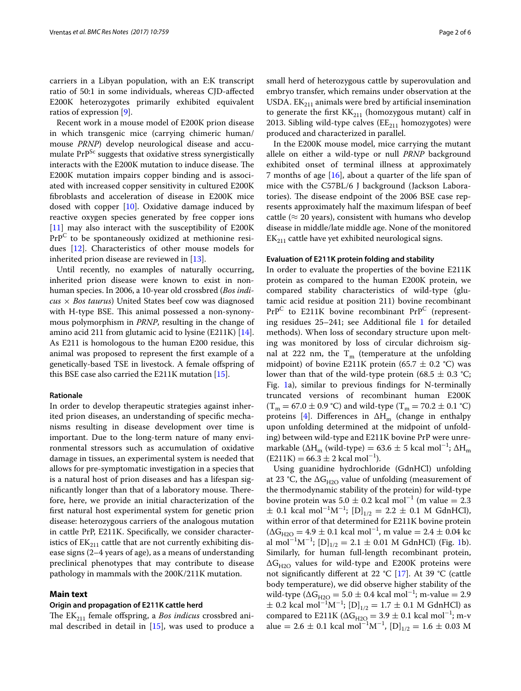carriers in a Libyan population, with an E:K transcript ratio of 50:1 in some individuals, whereas CJD-afected E200K heterozygotes primarily exhibited equivalent ratios of expression [\[9](#page-4-7)].

Recent work in a mouse model of E200K prion disease in which transgenic mice (carrying chimeric human/ mouse *PRNP*) develop neurological disease and accumulate PrP<sup>Sc</sup> suggests that oxidative stress synergistically interacts with the E200K mutation to induce disease. The E200K mutation impairs copper binding and is associated with increased copper sensitivity in cultured E200K fbroblasts and acceleration of disease in E200K mice dosed with copper [[10\]](#page-5-0). Oxidative damage induced by reactive oxygen species generated by free copper ions [[11\]](#page-5-1) may also interact with the susceptibility of E200K PrP<sup>C</sup> to be spontaneously oxidized at methionine residues [\[12\]](#page-5-2). Characteristics of other mouse models for inherited prion disease are reviewed in [\[13](#page-5-3)].

Until recently, no examples of naturally occurring, inherited prion disease were known to exist in nonhuman species. In 2006, a 10-year old crossbred (*Bos indicus* × *Bos taurus*) United States beef cow was diagnosed with H-type BSE. This animal possessed a non-synonymous polymorphism in *PRNP*, resulting in the change of amino acid 211 from glutamic acid to lysine (E211K) [\[14](#page-5-4)]. As E211 is homologous to the human E200 residue, this animal was proposed to represent the frst example of a genetically-based TSE in livestock. A female ofspring of this BSE case also carried the E211K mutation  $[15]$  $[15]$  $[15]$ .

#### **Rationale**

In order to develop therapeutic strategies against inherited prion diseases, an understanding of specifc mechanisms resulting in disease development over time is important. Due to the long-term nature of many environmental stressors such as accumulation of oxidative damage in tissues, an experimental system is needed that allows for pre-symptomatic investigation in a species that is a natural host of prion diseases and has a lifespan significantly longer than that of a laboratory mouse. Therefore, here, we provide an initial characterization of the frst natural host experimental system for genetic prion disease: heterozygous carriers of the analogous mutation in cattle PrP, E211K. Specifcally, we consider characteristics of  $EK_{211}$  cattle that are not currently exhibiting disease signs (2–4 years of age), as a means of understanding preclinical phenotypes that may contribute to disease pathology in mammals with the 200K/211K mutation.

## **Main text**

## **Origin and propagation of E211K cattle herd**

The EK<sub>211</sub> female offspring, a *Bos indicus* crossbred animal described in detail in  $[15]$ , was used to produce a small herd of heterozygous cattle by superovulation and embryo transfer, which remains under observation at the USDA.  $EK_{211}$  animals were bred by artificial insemination to generate the first  $KK_{211}$  (homozygous mutant) calf in 2013. Sibling wild-type calves ( $EE_{211}$  homozygotes) were produced and characterized in parallel.

In the E200K mouse model, mice carrying the mutant allele on either a wild-type or null *PRNP* background exhibited onset of terminal illness at approximately 7 months of age [[16](#page-5-6)], about a quarter of the life span of mice with the C57BL/6 J background (Jackson Laboratories). The disease endpoint of the 2006 BSE case represents approximately half the maximum lifespan of beef cattle ( $\approx$  20 years), consistent with humans who develop disease in middle/late middle age. None of the monitored  $EK_{211}$  cattle have yet exhibited neurological signs.

#### **Evaluation of E211K protein folding and stability**

In order to evaluate the properties of the bovine E211K protein as compared to the human E200K protein, we compared stability characteristics of wild-type (glutamic acid residue at position 211) bovine recombinant  $PrP^C$  to E211K bovine recombinant  $PrP^C$  (representing residues  $25-241$  $25-241$ ; see Additional file 1 for detailed methods). When loss of secondary structure upon melting was monitored by loss of circular dichroism signal at 222 nm, the  $T_m$  (temperature at the unfolding midpoint) of bovine E211K protein (65.7  $\pm$  0.2 °C) was lower than that of the wild-type protein (68.5  $\pm$  0.3 °C; Fig. [1](#page-2-0)a), similar to previous fndings for N-terminally truncated versions of recombinant human E200K  $(T_m = 67.0 \pm 0.9 \degree C)$  and wild-type  $(T_m = 70.2 \pm 0.1 \degree C)$ proteins [[4\]](#page-4-2). Differences in  $\Delta H_m$  (change in enthalpy upon unfolding determined at the midpoint of unfolding) between wild-type and E211K bovine PrP were unremarkable ( $\Delta H_m$  (wild-type) = 63.6 ± 5 kcal mol<sup>-1</sup>;  $\Delta H_m$  $(E211K) = 66.3 \pm 2 \text{ kcal mol}^{-1}$ .

Using guanidine hydrochloride (GdnHCl) unfolding at 23 °C, the  $\Delta G_{H2O}$  value of unfolding (measurement of the thermodynamic stability of the protein) for wild-type bovine protein was  $5.0 \pm 0.2$  kcal mol<sup>-1</sup> (m value = 2.3  $\pm$  0.1 kcal mol<sup>-1</sup>M<sup>-1</sup>; [D]<sub>1/2</sub> = 2.2  $\pm$  0.1 M GdnHCl), within error of that determined for E211K bovine protein  $(\Delta G_{\text{H2O}} = 4.9 \pm 0.1 \text{ kcal mol}^{-1}$ , m value = 2.4 ± 0.04 kc al mol<sup>-[1](#page-2-0)</sup>M<sup>-1</sup>; [D]<sub>1/2</sub> = 2.1 ± 0.01 M GdnHCl) (Fig. 1b). Similarly, for human full-length recombinant protein,  $\Delta G_{H2O}$  values for wild-type and E200K proteins were not significantly different at 22 °C [\[17](#page-5-7)]. At 39 °C (cattle body temperature), we did observe higher stability of the wild-type (ΔG<sub>H2O</sub> = 5.0 ± 0.4 kcal mol<sup>-1</sup>; m-value = 2.9  $\pm$  0.2 kcal mol<sup>-1</sup>M<sup>-1</sup>; [D]<sub>1/2</sub> = 1.7  $\pm$  0.1 M GdnHCl) as compared to E211K ( $\Delta G_{H2O} = 3.9 \pm 0.1$  kcal mol<sup>-1</sup>; m-v alue =  $2.6 \pm 0.1$  kcal mol<sup>-1</sup>M<sup>-1</sup>, [D]<sub>1/2</sub> =  $1.6 \pm 0.03$  M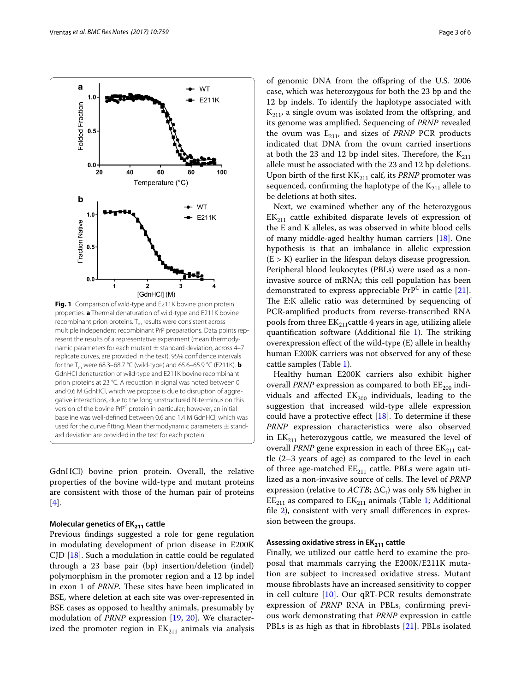<span id="page-2-0"></span>GdnHCl) bovine prion protein. Overall, the relative properties of the bovine wild-type and mutant proteins are consistent with those of the human pair of proteins [[4\]](#page-4-2).

## **Molecular genetics of EK211 cattle**

Previous fndings suggested a role for gene regulation in modulating development of prion disease in E200K CJD [[18\]](#page-5-8). Such a modulation in cattle could be regulated through a 23 base pair (bp) insertion/deletion (indel) polymorphism in the promoter region and a 12 bp indel in exon 1 of *PRNP*. These sites have been implicated in BSE, where deletion at each site was over-represented in BSE cases as opposed to healthy animals, presumably by modulation of *PRNP* expression [\[19](#page-5-9), [20\]](#page-5-10). We characterized the promoter region in  $EK_{211}$  animals via analysis

of genomic DNA from the ofspring of the U.S. 2006 case, which was heterozygous for both the 23 bp and the 12 bp indels. To identify the haplotype associated with  $K_{211}$ , a single ovum was isolated from the offspring, and its genome was amplifed. Sequencing of *PRNP* revealed the ovum was  $E_{211}$ , and sizes of *PRNP* PCR products indicated that DNA from the ovum carried insertions at both the 23 and 12 bp indel sites. Therefore, the  $K_{211}$ allele must be associated with the 23 and 12 bp deletions. Upon birth of the first KK<sub>211</sub> calf, its *PRNP* promoter was sequenced, confirming the haplotype of the  $K_{211}$  allele to be deletions at both sites.

Next, we examined whether any of the heterozygous  $EK_{211}$  cattle exhibited disparate levels of expression of the E and K alleles, as was observed in white blood cells of many middle-aged healthy human carriers [[18\]](#page-5-8). One hypothesis is that an imbalance in allelic expression  $(E > K)$  earlier in the lifespan delays disease progression. Peripheral blood leukocytes (PBLs) were used as a noninvasive source of mRNA; this cell population has been demonstrated to express appreciable  $PrP^C$  in cattle [\[21](#page-5-11)]. The E:K allelic ratio was determined by sequencing of PCR-amplifed products from reverse-transcribed RNA pools from three  $EK_{211}$ cattle 4 years in age, utilizing allele quantification software (Additional file  $1$ ). The striking overexpression efect of the wild-type (E) allele in healthy human E200K carriers was not observed for any of these cattle samples (Table [1\)](#page-3-0).

Healthy human E200K carriers also exhibit higher overall *PRNP* expression as compared to both EE<sub>200</sub> individuals and affected  $EK_{200}$  individuals, leading to the suggestion that increased wild-type allele expression could have a protective effect  $[18]$ . To determine if these *PRNP* expression characteristics were also observed in  $EK_{211}$  heterozygous cattle, we measured the level of overall *PRNP* gene expression in each of three EK<sub>211</sub> cattle (2–3 years of age) as compared to the level in each of three age-matched  $EE_{211}$  cattle. PBLs were again utilized as a non-invasive source of cells. The level of *PRNP* expression (relative to  $ACTB$ ;  $\Delta C_t$ ) was only 5% higher in  $EE_{211}$  as compared to  $EK_{211}$  animals (Table [1;](#page-3-0) Additional file [2\)](#page-4-9), consistent with very small differences in expression between the groups.

## Assessing oxidative stress in EK<sub>211</sub> cattle

Finally, we utilized our cattle herd to examine the proposal that mammals carrying the E200K/E211K mutation are subject to increased oxidative stress. Mutant mouse fbroblasts have an increased sensitivity to copper in cell culture [\[10](#page-5-0)]. Our qRT-PCR results demonstrate expression of *PRNP* RNA in PBLs, confrming previous work demonstrating that *PRNP* expression in cattle PBLs is as high as that in fbroblasts [[21\]](#page-5-11). PBLs isolated



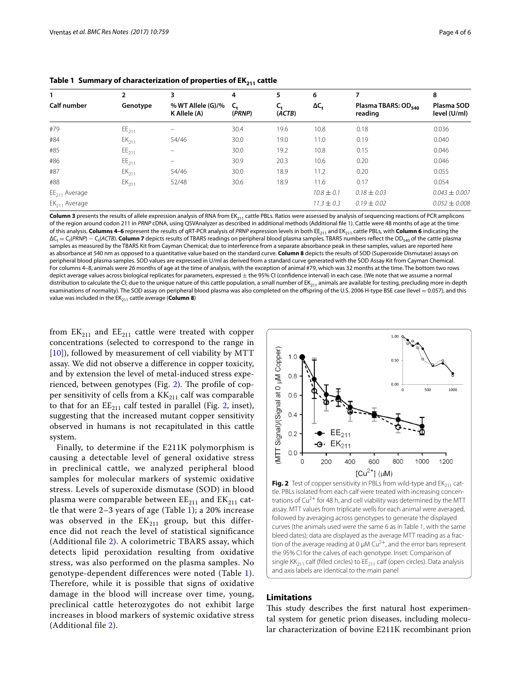| 1<br>Calf number   | $\overline{2}$<br>Genotype | 3<br>% WT Allele (G)/%<br>K Allele (A) | 4<br>$C_{t}$<br>(PRNP) | 5<br>(ACTB) | 6<br>ΔC <sub>τ</sub> | 7<br>Plasma TBARS: OD <sub>540</sub><br>reading | 8<br>Plasma SOD<br>level (U/ml) |
|--------------------|----------------------------|----------------------------------------|------------------------|-------------|----------------------|-------------------------------------------------|---------------------------------|
|                    |                            |                                        |                        |             |                      |                                                 |                                 |
| #84                | $EK_{211}$                 | 54/46                                  | 30.0                   | 19.0        | 11.0                 | 0.19                                            | 0.040                           |
| #85                | $EE_{211}$                 |                                        | 30.0                   | 19.2        | 10.8                 | 0.15                                            | 0.046                           |
| #86                | $EE_{211}$                 | -                                      | 30.9                   | 20.3        | 10.6                 | 0.20                                            | 0.046                           |
| #87                | $EK_{211}$                 | 54/46                                  | 30.0                   | 18.9        | 11.2                 | 0.20                                            | 0.055                           |
| #88                | $EK_{211}$                 | 52/48                                  | 30.6                   | 18.9        | 11.6                 | 0.17                                            | 0.054                           |
| $EE_{211}$ Average |                            |                                        |                        |             | $10.8 \pm 0.1$       | $0.18 \pm 0.03$                                 | $0.043 \pm 0.007$               |
| $EK_{211}$ Average |                            |                                        |                        |             | $11.3 \pm 0.3$       | $0.19 \pm 0.02$                                 | $0.052 \pm 0.008$               |

<span id="page-3-0"></span>**Table 1 Summary of characterization of properties of EK<sub>211</sub> cattle** 

Column 3 presents the results of allele expression analysis of RNA from EK<sub>211</sub> cattle PBLs. Ratios were assessed by analysis of sequencing reactions of PCR amplicons of the region around codon 211 in *PRNP* cDNA, using QSVAnalyzer as described in additional methods (Additional fle [1](#page-4-8)). Cattle were 48 months of age at the time of this analysis. **Columns 4–6** represent the results of qRT-PCR analysis of *PRNP* expression levels in both EE211 and EK211 cattle PBLs, with **Column 6** indicating the ΔC<sub>t</sub> = C<sub>t</sub>(PRNP) − C<sub>t</sub>(ACTB). **Column 7** depicts results of TBARS readings on peripheral blood plasma samples. TBARS numbers reflect the OD<sub>540</sub> of the cattle plasma samples as measured by the TBARS Kit from Cayman Chemical; due to interference from a separate absorbance peak in these samples, values are reported here as absorbance at 540 nm as opposed to a quantitative value based on the standard curve. **Column 8** depicts the results of SOD (Superoxide Dismutase) assays on peripheral blood plasma samples. SOD values are expressed in U/ml as derived from a standard curve generated with the SOD Assay Kit from Cayman Chemical. For columns 4–8, animals were 26 months of age at the time of analysis, with the exception of animal #79, which was 32 months at the time. The bottom two rows depict average values across biological replicates for parameters, expressed  $\pm$  the 95% CI (confidence interval) in each case. (We note that we assume a normal distribution to calculate the CI; due to the unique nature of this cattle population, a small number of EK<sub>211</sub> animals are available for testing, precluding more in-depth examinations of normality). The SOD assay on peripheral blood plasma was also completed on the offspring of the U.S. 2006 H-type BSE case (level = 0.057), and this value was included in the EK<sub>211</sub> cattle average (**Column 8**)

from  $EK_{211}$  and  $EE_{211}$  cattle were treated with copper concentrations (selected to correspond to the range in  $[10]$  $[10]$ ), followed by measurement of cell viability by MTT assay. We did not observe a diference in copper toxicity, and by extension the level of metal-induced stress expe-rienced, between genotypes (Fig. [2\)](#page-3-1). The profile of copper sensitivity of cells from a  $\rm KK_{211}$  calf was comparable to that for an  $EE_{211}$  calf tested in parallel (Fig. [2,](#page-3-1) inset), suggesting that the increased mutant copper sensitivity observed in humans is not recapitulated in this cattle system.

Finally, to determine if the E211K polymorphism is causing a detectable level of general oxidative stress in preclinical cattle, we analyzed peripheral blood samples for molecular markers of systemic oxidative stress. Levels of superoxide dismutase (SOD) in blood plasma were comparable between  $EE_{211}$  and  $EK_{211}$  cattle that were 2–3 years of age (Table [1\)](#page-3-0); a 20% increase was observed in the  $EK_{211}$  group, but this difference did not reach the level of statistical significance (Additional file [2\)](#page-4-9). A colorimetric TBARS assay, which detects lipid peroxidation resulting from oxidative stress, was also performed on the plasma samples. No genotype-dependent differences were noted (Table [1\)](#page-3-0). Therefore, while it is possible that signs of oxidative damage in the blood will increase over time, young, preclinical cattle heterozygotes do not exhibit large increases in blood markers of systemic oxidative stress (Additional file [2](#page-4-9)).



<span id="page-3-1"></span>**Fig. 2** Test of copper sensitivity in PBLs from wild-type and  $EK_{211}$  cattle. PBLs isolated from each calf were treated with increasing concentrations of  $Cu^{2+}$  for 48 h, and cell viability was determined by the MTT assay. MTT values from triplicate wells for each animal were averaged, followed by averaging across genotypes to generate the displayed curves (the animals used were the same 6 as in Table [1](#page-3-0), with the same bleed dates); data are displayed as the average MTT reading as a fraction of the average reading at 0  $\mu$ M Cu<sup>2+</sup>, and the error bars represent the 95% CI for the calves of each genotype. Inset: Comparison of single KK<sub>211</sub> calf (filled circles) to  $EE_{211}$  calf (open circles). Data analysis and axis labels are identical to the main panel

#### **Limitations**

This study describes the first natural host experimental system for genetic prion diseases, including molecular characterization of bovine E211K recombinant prion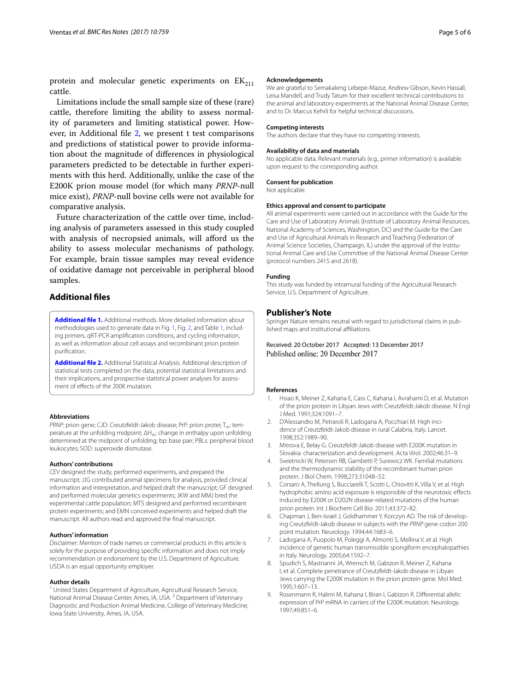protein and molecular genetic experiments on  $EK_{211}$ cattle.

Limitations include the small sample size of these (rare) cattle, therefore limiting the ability to assess normality of parameters and limiting statistical power. However, in Additional fle [2,](#page-4-9) we present t test comparisons and predictions of statistical power to provide information about the magnitude of diferences in physiological parameters predicted to be detectable in further experiments with this herd. Additionally, unlike the case of the E200K prion mouse model (for which many *PRNP*-null mice exist), *PRNP*-null bovine cells were not available for comparative analysis.

Future characterization of the cattle over time, including analysis of parameters assessed in this study coupled with analysis of necropsied animals, will afford us the ability to assess molecular mechanisms of pathology. For example, brain tissue samples may reveal evidence of oxidative damage not perceivable in peripheral blood samples.

## **Additional fles**

<span id="page-4-8"></span>**[Additional fle](https://doi.org/10.1186/s13104-017-3085-8) 1.** Additional methods. More detailed information about methodologies used to generate data in Fig. [1](#page-2-0), Fig. [2,](#page-3-1) and Table [1](#page-3-0), including primers, qRT-PCR amplifcation conditions, and cycling information, as well as information about cell assays and recombinant prion protein purifcation.

<span id="page-4-9"></span>**[Additional fle](https://doi.org/10.1186/s13104-017-3085-8) 2.** Additional Statistical Analysis. Additional description of statistical tests completed on the data, potential statistical limitations and their implications, and prospective statistical power analyses for assessment of efects of the 200K mutation.

#### **Abbreviations**

*PRNP*: prion gene; CJD: Creutzfeldt-Jakob disease; PrP: prion protei; T<sub>m</sub>: temperature at the unfolding midpoint; ΔHm: change in enthalpy upon unfolding determined at the midpoint of unfolding; bp: base pair; PBLs: peripheral blood leukocytes; SOD: superoxide dismutase.

#### **Authors' contributions**

CEV designed the study, performed experiments, and prepared the manuscript; JJG contributed animal specimens for analysis, provided clinical information and interpretation, and helped draft the manuscript; GF designed and performed molecular genetics experiments; JKW and MMJ bred the experimental cattle population; MTS designed and performed recombinant protein experiments; and EMN conceived experiments and helped draft the manuscript. All authors read and approved the fnal manuscript.

#### **Authors' information**

Disclaimer: Mention of trade names or commercial products in this article is solely for the purpose of providing specifc information and does not imply recommendation or endorsement by the U.S. Department of Agriculture. USDA is an equal opportunity employer.

#### **Author details**

<sup>1</sup> United States Department of Agriculture, Agricultural Research Service, National Animal Disease Center, Ames, IA, USA. <sup>2</sup> Department of Veterinary Diagnostic and Production Animal Medicine, College of Veterinary Medicine, Iowa State University, Ames, IA, USA.

#### **Acknowledgements**

We are grateful to Semakaleng Lebepe-Mazur, Andrew Gibson, Kevin Hassall, Leisa Mandell, and Trudy Tatum for their excellent technical contributions to the animal and laboratory experiments at the National Animal Disease Center, and to Dr. Marcus Kehrli for helpful technical discussions.

#### **Competing interests**

The authors declare that they have no competing interests.

#### **Availability of data and materials**

No applicable data. Relevant materials (e.g., primer information) is available upon request to the corresponding author.

#### **Consent for publication**

Not applicable.

#### **Ethics approval and consent to participate**

All animal experiments were carried out in accordance with the Guide for the Care and Use of Laboratory Animals (Institute of Laboratory Animal Resources, National Academy of Sciences, Washington, DC) and the Guide for the Care and Use of Agricultural Animals in Research and Teaching (Federation of Animal Science Societies, Champaign, IL) under the approval of the Institutional Animal Care and Use Committee of the National Animal Disease Center (protocol numbers 2415 and 2618).

#### **Funding**

This study was funded by intramural funding of the Agricultural Research Service, U.S. Department of Agriculture.

## **Publisher's Note**

Springer Nature remains neutral with regard to jurisdictional claims in published maps and institutional afliations.

Received: 20 October 2017 Accepted: 13 December 2017 Published online: 20 December 2017

#### **References**

- <span id="page-4-0"></span>1. Hsiao K, Meiner Z, Kahana E, Cass C, Kahana I, Avrahami D, et al. Mutation of the prion protein in Libyan Jews with Creutzfeldt-Jakob disease. N Engl J Med. 1991;324:1091–7.
- 2. D'Alessandro M, Petraroli R, Ladogana A, Pocchiari M. High incidence of Creutzfeldt-Jakob disease in rural Calabria, Italy. Lancet. 1998;352:1989–90.
- <span id="page-4-1"></span>3. Mitrova E, Belay G. Creutzfeldt-Jakob disease with E200K mutation in Slovakia: characterization and development. Acta Virol. 2002;46:31–9.
- <span id="page-4-2"></span>4. Swietnicki W, Petersen RB, Gambetti P, Surewicz WK. Familial mutations and the thermodynamic stability of the recombinant human prion protein. J Biol Chem. 1998;273:31048–52.
- <span id="page-4-3"></span>5. Corsaro A, Thellung S, Bucciarelli T, Scotti L, Chiovitti K, Villa V, et al. High hydrophobic amino acid exposure is responsible of the neurotoxic efects induced by E200K or D202N disease-related mutations of the human prion protein. Int J Biochem Cell Bio. 2011;43:372–82.
- <span id="page-4-4"></span>6. Chapman J, Ben-Israel J, Goldhammer Y, Korczyn AD. The risk of developing Creutzfeldt-Jakob disease in subjects with the *PRNP* gene codon 200 point mutation. Neurology. 1994;44:1683–6.
- <span id="page-4-5"></span>7. Ladogana A, Puopolo M, Poleggi A, Almonti S, Mellina V, et al. High incidence of genetic human transmissible spongiform encephalopathies in Italy. Neurology. 2005;64:1592–7.
- <span id="page-4-6"></span>8. Spudich S, Mastrianni JA, Wrensch M, Gabizon R, Meiner Z, Kahana I, et al. Complete penetrance of Creutzfeldt-Jakob disease in Libyan Jews carrying the E200K mutation in the prion protein gene. Mol Med. 1995;1:607–13.
- <span id="page-4-7"></span>9. Rosenmann R, Halimi M, Kahana I, Biran I, Gabizon R. Diferential allelic expression of PrP mRNA in carriers of the E200K mutation. Neurology. 1997;49:851–6.